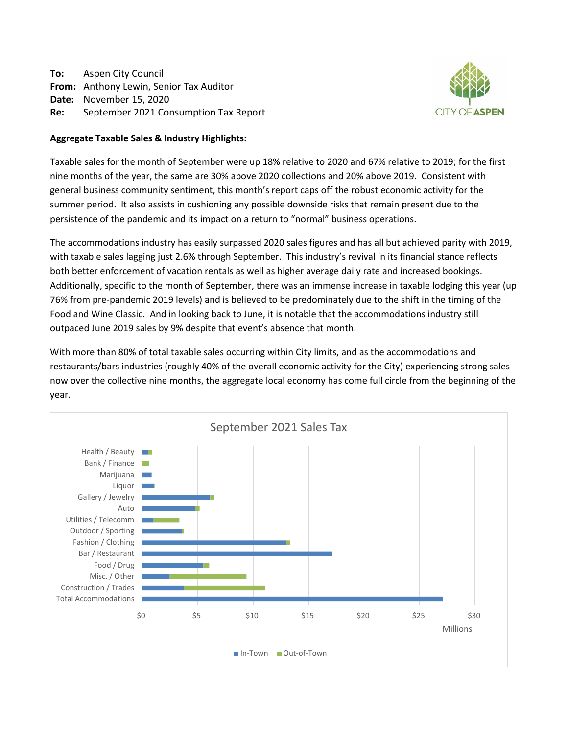**To:** Aspen City Council **From:** Anthony Lewin, Senior Tax Auditor **Date:** November 15, 2020 **Re:** September 2021 Consumption Tax Report



## **Aggregate Taxable Sales & Industry Highlights:**

Taxable sales for the month of September were up 18% relative to 2020 and 67% relative to 2019; for the first nine months of the year, the same are 30% above 2020 collections and 20% above 2019. Consistent with general business community sentiment, this month's report caps off the robust economic activity for the summer period. It also assists in cushioning any possible downside risks that remain present due to the persistence of the pandemic and its impact on a return to "normal" business operations.

The accommodations industry has easily surpassed 2020 sales figures and has all but achieved parity with 2019, with taxable sales lagging just 2.6% through September. This industry's revival in its financial stance reflects both better enforcement of vacation rentals as well as higher average daily rate and increased bookings. Additionally, specific to the month of September, there was an immense increase in taxable lodging this year (up 76% from pre-pandemic 2019 levels) and is believed to be predominately due to the shift in the timing of the Food and Wine Classic. And in looking back to June, it is notable that the accommodations industry still outpaced June 2019 sales by 9% despite that event's absence that month.

With more than 80% of total taxable sales occurring within City limits, and as the accommodations and restaurants/bars industries (roughly 40% of the overall economic activity for the City) experiencing strong sales now over the collective nine months, the aggregate local economy has come full circle from the beginning of the year.

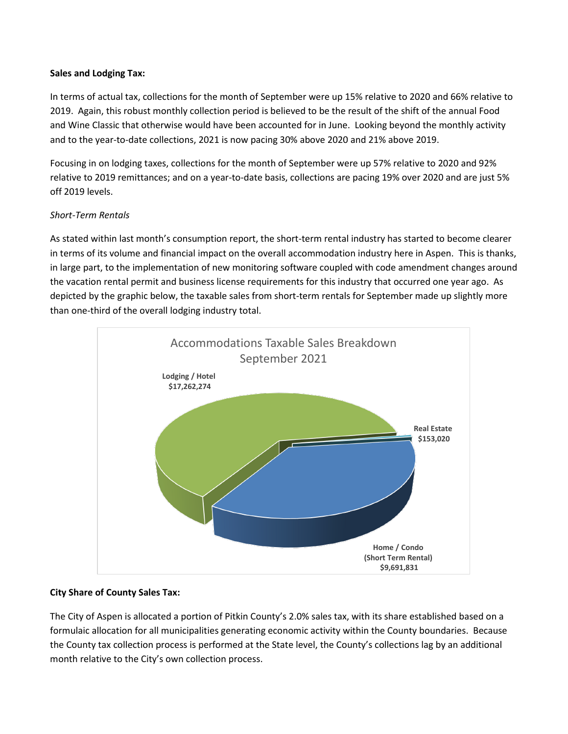# **Sales and Lodging Tax:**

In terms of actual tax, collections for the month of September were up 15% relative to 2020 and 66% relative to 2019. Again, this robust monthly collection period is believed to be the result of the shift of the annual Food and Wine Classic that otherwise would have been accounted for in June. Looking beyond the monthly activity and to the year-to-date collections, 2021 is now pacing 30% above 2020 and 21% above 2019.

Focusing in on lodging taxes, collections for the month of September were up 57% relative to 2020 and 92% relative to 2019 remittances; and on a year-to-date basis, collections are pacing 19% over 2020 and are just 5% off 2019 levels.

# *Short-Term Rentals*

As stated within last month's consumption report, the short-term rental industry has started to become clearer in terms of its volume and financial impact on the overall accommodation industry here in Aspen. This is thanks, in large part, to the implementation of new monitoring software coupled with code amendment changes around the vacation rental permit and business license requirements for this industry that occurred one year ago. As depicted by the graphic below, the taxable sales from short-term rentals for September made up slightly more than one-third of the overall lodging industry total.



## **City Share of County Sales Tax:**

The City of Aspen is allocated a portion of Pitkin County's 2.0% sales tax, with its share established based on a formulaic allocation for all municipalities generating economic activity within the County boundaries. Because the County tax collection process is performed at the State level, the County's collections lag by an additional month relative to the City's own collection process.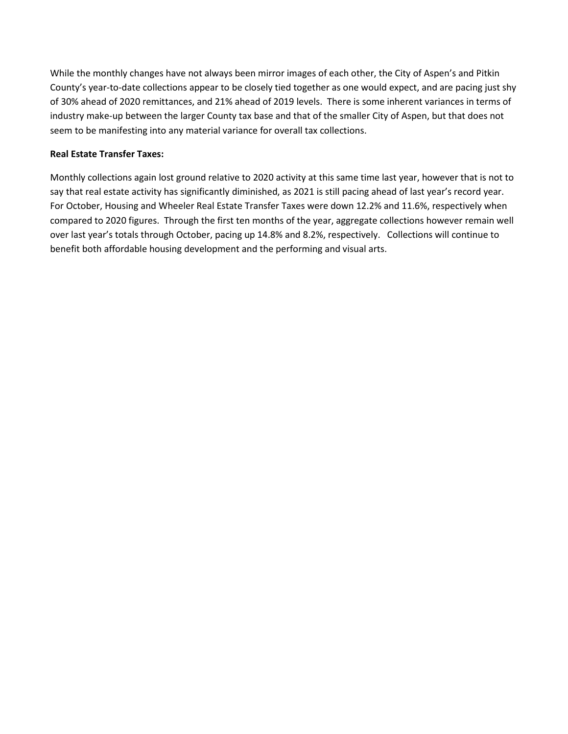While the monthly changes have not always been mirror images of each other, the City of Aspen's and Pitkin County's year-to-date collections appear to be closely tied together as one would expect, and are pacing just shy of 30% ahead of 2020 remittances, and 21% ahead of 2019 levels. There is some inherent variances in terms of industry make-up between the larger County tax base and that of the smaller City of Aspen, but that does not seem to be manifesting into any material variance for overall tax collections.

# **Real Estate Transfer Taxes:**

Monthly collections again lost ground relative to 2020 activity at this same time last year, however that is not to say that real estate activity has significantly diminished, as 2021 is still pacing ahead of last year's record year. For October, Housing and Wheeler Real Estate Transfer Taxes were down 12.2% and 11.6%, respectively when compared to 2020 figures. Through the first ten months of the year, aggregate collections however remain well over last year's totals through October, pacing up 14.8% and 8.2%, respectively. Collections will continue to benefit both affordable housing development and the performing and visual arts.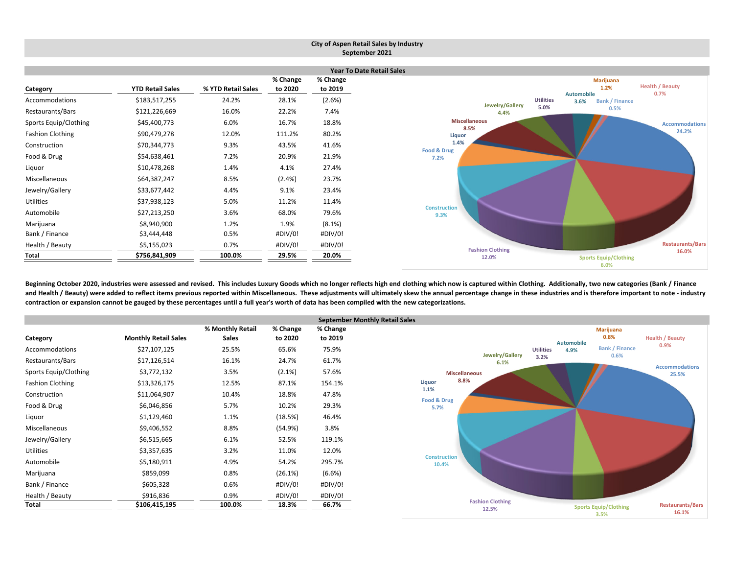|                         |                                  |                    |                     |                     | City of Aspen Retail Sales by Industry<br>September 2021                        |  |  |  |  |  |  |  |
|-------------------------|----------------------------------|--------------------|---------------------|---------------------|---------------------------------------------------------------------------------|--|--|--|--|--|--|--|
|                         | <b>Year To Date Retail Sales</b> |                    |                     |                     |                                                                                 |  |  |  |  |  |  |  |
| Category                | <b>YTD Retail Sales</b>          | % YTD Retail Sales | % Change<br>to 2020 | % Change<br>to 2019 | <b>Marijuana</b><br><b>Health / Beauty</b><br>1.2%<br><b>Automobile</b><br>0.7% |  |  |  |  |  |  |  |
| Accommodations          | \$183,517,255                    | 24.2%              | 28.1%               | (2.6%)              | <b>Utilities</b><br><b>Bank / Finance</b><br>3.6%<br>Jewelry/Gallery            |  |  |  |  |  |  |  |
| Restaurants/Bars        | \$121,226,669                    | 16.0%              | 22.2%               | 7.4%                | 5.0%<br>0.5%<br>4.4%                                                            |  |  |  |  |  |  |  |
| Sports Equip/Clothing   | \$45,400,773                     | 6.0%               | 16.7%               | 18.8%               | <b>Miscellaneous</b><br><b>Accommodations</b>                                   |  |  |  |  |  |  |  |
| <b>Fashion Clothing</b> | \$90,479,278                     | 12.0%              | 111.2%              | 80.2%               | 8.5%<br>24.2%<br>Liquor                                                         |  |  |  |  |  |  |  |
| Construction            | \$70,344,773                     | 9.3%               | 43.5%               | 41.6%               | 1.4%<br>Food & Drug                                                             |  |  |  |  |  |  |  |
| Food & Drug             | \$54,638,461                     | 7.2%               | 20.9%               | 21.9%               | 7.2%                                                                            |  |  |  |  |  |  |  |
| Liquor                  | \$10,478,268                     | 1.4%               | 4.1%                | 27.4%               |                                                                                 |  |  |  |  |  |  |  |
| Miscellaneous           | \$64,387,247                     | 8.5%               | $(2.4\%)$           | 23.7%               |                                                                                 |  |  |  |  |  |  |  |
| Jewelry/Gallery         | \$33,677,442                     | 4.4%               | 9.1%                | 23.4%               |                                                                                 |  |  |  |  |  |  |  |
| Utilities               | \$37,938,123                     | 5.0%               | 11.2%               | 11.4%               |                                                                                 |  |  |  |  |  |  |  |
| Automobile              | \$27,213,250                     | 3.6%               | 68.0%               | 79.6%               | <b>Construction</b><br>9.3%                                                     |  |  |  |  |  |  |  |
| Marijuana               | \$8,940,900                      | 1.2%               | 1.9%                | $(8.1\%)$           |                                                                                 |  |  |  |  |  |  |  |
| Bank / Finance          | \$3,444,448                      | 0.5%               | #DIV/0!             | #DIV/0!             |                                                                                 |  |  |  |  |  |  |  |
| Health / Beauty         | \$5,155,023                      | 0.7%               | #DIV/0!             | #DIV/0!             | <b>Restaurants/Bars</b><br><b>Fashion Clothing</b>                              |  |  |  |  |  |  |  |
| Total                   | \$756,841,909                    | 100.0%             | 29.5%               | 20.0%               | 16.0%<br>12.0%<br><b>Sports Equip/Clothing</b><br>6.0%                          |  |  |  |  |  |  |  |

Beginning October 2020, industries were assessed and revised. This includes Luxury Goods which no longer reflects high end clothing which now is captured within Clothing. Additionally, two new categories (Bank / Finance and Health / Beauty) were added to reflect items previous reported within Miscellaneous. These adjustments will ultimately skew the annual percentage change in these industries and is therefore important to note - industry contraction or expansion cannot be gauged by these percentages until a full year's worth of data has been compiled with the new categorizations.

|                         |                             |                                  | <b>September Monthly Retail Sales</b> |                     |                              |  |  |  |  |
|-------------------------|-----------------------------|----------------------------------|---------------------------------------|---------------------|------------------------------|--|--|--|--|
| Category                | <b>Monthly Retail Sales</b> | % Monthly Retail<br><b>Sales</b> | % Change<br>to 2020                   | % Change<br>to 2019 |                              |  |  |  |  |
| Accommodations          | \$27,107,125                | 25.5%                            | 65.6%                                 | 75.9%               |                              |  |  |  |  |
| Restaurants/Bars        | \$17,126,514                | 16.1%                            | 24.7%                                 | 61.7%               |                              |  |  |  |  |
| Sports Equip/Clothing   | \$3,772,132                 | 3.5%                             | $(2.1\%)$                             | 57.6%               | <b>Miscellane</b>            |  |  |  |  |
| <b>Fashion Clothing</b> | \$13,326,175                | 12.5%                            | 87.1%                                 | 154.1%              | 8.8%<br>Liquor               |  |  |  |  |
| Construction            | \$11,064,907                | 10.4%                            | 18.8%                                 | 47.8%               | 1.1%                         |  |  |  |  |
| Food & Drug             | \$6,046,856                 | 5.7%                             | 10.2%                                 | 29.3%               | Food & Drug<br>5.7%          |  |  |  |  |
| Liquor                  | \$1,129,460                 | 1.1%                             | (18.5%)                               | 46.4%               |                              |  |  |  |  |
| Miscellaneous           | \$9,406,552                 | 8.8%                             | (54.9%)                               | 3.8%                |                              |  |  |  |  |
| Jewelry/Gallery         | \$6,515,665                 | 6.1%                             | 52.5%                                 | 119.1%              |                              |  |  |  |  |
| <b>Utilities</b>        | \$3,357,635                 | 3.2%                             | 11.0%                                 | 12.0%               |                              |  |  |  |  |
| Automobile              | \$5,180,911                 | 4.9%                             | 54.2%                                 | 295.7%              | <b>Construction</b><br>10.4% |  |  |  |  |
| Marijuana               | \$859,099                   | 0.8%                             | (26.1%)                               | $(6.6\%)$           |                              |  |  |  |  |
| Bank / Finance          | \$605,328                   | 0.6%                             | #DIV/0!                               | #DIV/0!             |                              |  |  |  |  |
| Health / Beauty         | \$916,836                   | 0.9%                             | #DIV/0!                               | #DIV/0!             |                              |  |  |  |  |
| Total                   | \$106,415,195               | 100.0%                           | 18.3%                                 | 66.7%               | B                            |  |  |  |  |

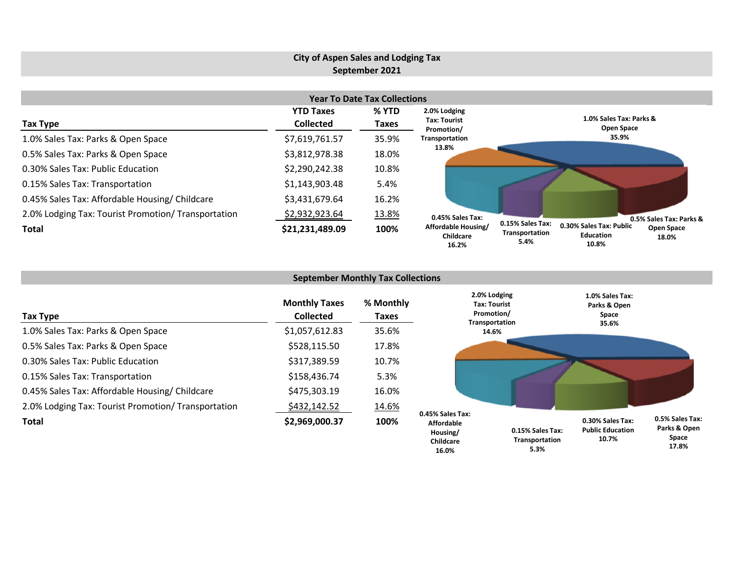# **City of Aspen Sales and Lodging Tax September 2021**

| <b>Year To Date Tax Collections</b>                 |                  |       |                                           |                                                                                                                           |  |  |  |  |  |  |  |
|-----------------------------------------------------|------------------|-------|-------------------------------------------|---------------------------------------------------------------------------------------------------------------------------|--|--|--|--|--|--|--|
|                                                     | <b>YTD Taxes</b> | % YTD | 2.0% Lodging                              |                                                                                                                           |  |  |  |  |  |  |  |
| Tax Type                                            | <b>Collected</b> | Taxes | Tax: Tourist<br>Promotion/                | 1.0% Sales Tax: Parks &<br>Open Space                                                                                     |  |  |  |  |  |  |  |
| 1.0% Sales Tax: Parks & Open Space                  | \$7,619,761.57   | 35.9% | Transportation                            | 35.9%                                                                                                                     |  |  |  |  |  |  |  |
| 0.5% Sales Tax: Parks & Open Space                  | \$3,812,978.38   | 18.0% | 13.8%                                     |                                                                                                                           |  |  |  |  |  |  |  |
| 0.30% Sales Tax: Public Education                   | \$2,290,242.38   | 10.8% |                                           |                                                                                                                           |  |  |  |  |  |  |  |
| 0.15% Sales Tax: Transportation                     | \$1,143,903.48   | 5.4%  |                                           |                                                                                                                           |  |  |  |  |  |  |  |
| 0.45% Sales Tax: Affordable Housing/ Childcare      | \$3,431,679.64   | 16.2% |                                           |                                                                                                                           |  |  |  |  |  |  |  |
| 2.0% Lodging Tax: Tourist Promotion/ Transportation | \$2,932,923.64   | 13.8% | 0.45% Sales Tax:                          | 0.5% Sales Tax: Parks &                                                                                                   |  |  |  |  |  |  |  |
| Total                                               | \$21,231,489.09  | 100%  | Affordable Housing/<br>Childcare<br>16.2% | 0.15% Sales Tax:<br>0.30% Sales Tax: Public<br><b>Open Space</b><br>Transportation<br>Education<br>18.0%<br>5.4%<br>10.8% |  |  |  |  |  |  |  |

| <b>September Monthly Tax Collections</b>            |                                          |                    |                                                                     |                                    |                                                      |                                          |  |  |  |  |
|-----------------------------------------------------|------------------------------------------|--------------------|---------------------------------------------------------------------|------------------------------------|------------------------------------------------------|------------------------------------------|--|--|--|--|
| Tax Type                                            | <b>Monthly Taxes</b><br><b>Collected</b> | % Monthly<br>Taxes | 2.0% Lodging<br><b>Tax: Tourist</b><br>Promotion/<br>Transportation |                                    | 1.0% Sales Tax:<br>Parks & Open<br>Space<br>35.6%    |                                          |  |  |  |  |
| 1.0% Sales Tax: Parks & Open Space                  | \$1,057,612.83                           | 35.6%              |                                                                     | 14.6%                              |                                                      |                                          |  |  |  |  |
| 0.5% Sales Tax: Parks & Open Space                  | \$528,115.50                             | 17.8%              |                                                                     |                                    |                                                      |                                          |  |  |  |  |
| 0.30% Sales Tax: Public Education                   | \$317,389.59                             | 10.7%              |                                                                     |                                    |                                                      |                                          |  |  |  |  |
| 0.15% Sales Tax: Transportation                     | \$158,436.74                             | 5.3%               |                                                                     |                                    |                                                      |                                          |  |  |  |  |
| 0.45% Sales Tax: Affordable Housing/ Childcare      | \$475,303.19                             | 16.0%              |                                                                     |                                    |                                                      |                                          |  |  |  |  |
| 2.0% Lodging Tax: Tourist Promotion/ Transportation | <u>\$432,142.52</u>                      | 14.6%              |                                                                     |                                    |                                                      |                                          |  |  |  |  |
| <b>Total</b>                                        | \$2,969,000.37                           | 100%               | 0.45% Sales Tax:<br><b>Affordable</b><br>Housing/<br>Childcare      | 0.15% Sales Tax:<br>Transportation | 0.30% Sales Tax:<br><b>Public Education</b><br>10.7% | 0.5% Sales Tax:<br>Parks & Open<br>Space |  |  |  |  |

**Space 17.8%**

**5.3%**

**Childcare 16.0%**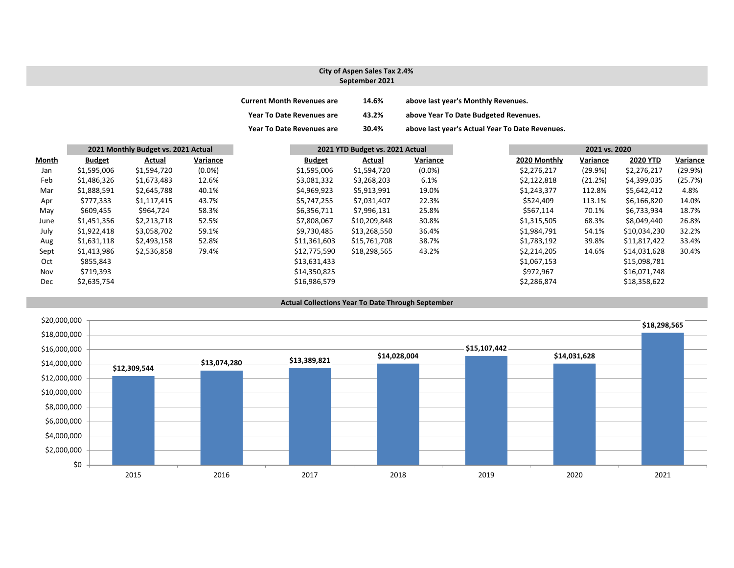#### **City of Aspen Sales Tax 2.4% September 2021**

| <b>Current Month Revenues are</b> | 14.6% | above last year's Monthly Revenues.             |
|-----------------------------------|-------|-------------------------------------------------|
| <b>Year To Date Revenues are</b>  | 43.2% | above Year To Date Budgeted Revenues.           |
| <b>Year To Date Revenues are</b>  | 30.4% | above last year's Actual Year To Date Revenues. |

|              | 2021 Monthly Budget vs. 2021 Actual |             |           | 2021 YTD Budget vs. 2021 Actual |              |           |              | 2021 vs. 2020 |                 |          |
|--------------|-------------------------------------|-------------|-----------|---------------------------------|--------------|-----------|--------------|---------------|-----------------|----------|
| <b>Month</b> | <b>Budget</b>                       | Actual      | Variance  | <b>Budget</b>                   | Actual       | Variance  | 2020 Monthly | Variance      | <b>2020 YTD</b> | Variance |
| Jan          | \$1,595,006                         | \$1,594,720 | $(0.0\%)$ | \$1,595,006                     | \$1,594,720  | $(0.0\%)$ | \$2,276,217  | (29.9%)       | \$2,276,217     | (29.9%)  |
| Feb          | \$1,486,326                         | \$1,673,483 | 12.6%     | \$3,081,332                     | \$3,268,203  | 6.1%      | \$2,122,818  | (21.2%)       | \$4,399,035     | (25.7%)  |
| Mar          | \$1,888,591                         | \$2,645,788 | 40.1%     | \$4,969,923                     | \$5,913,991  | 19.0%     | \$1,243,377  | 112.8%        | \$5,642,412     | 4.8%     |
| Apr          | \$777,333                           | \$1,117,415 | 43.7%     | \$5,747,255                     | \$7,031,407  | 22.3%     | \$524,409    | 113.1%        | \$6,166,820     | 14.0%    |
| May          | \$609,455                           | \$964,724   | 58.3%     | \$6,356,711                     | \$7,996,131  | 25.8%     | \$567,114    | 70.1%         | \$6,733,934     | 18.7%    |
| June         | \$1,451,356                         | \$2,213,718 | 52.5%     | \$7,808,067                     | \$10,209,848 | 30.8%     | \$1,315,505  | 68.3%         | \$8,049,440     | 26.8%    |
| July         | \$1,922,418                         | \$3,058,702 | 59.1%     | \$9,730,485                     | \$13,268,550 | 36.4%     | \$1,984,791  | 54.1%         | \$10,034,230    | 32.2%    |
| Aug          | \$1,631,118                         | \$2,493,158 | 52.8%     | \$11,361,603                    | \$15,761,708 | 38.7%     | \$1,783,192  | 39.8%         | \$11,817,422    | 33.4%    |
| Sept         | \$1,413,986                         | \$2,536,858 | 79.4%     | \$12,775,590                    | \$18,298,565 | 43.2%     | \$2,214,205  | 14.6%         | \$14,031,628    | 30.4%    |
| Oct          | \$855,843                           |             |           | \$13,631,433                    |              |           | \$1,067,153  |               | \$15,098,781    |          |
| Nov          | \$719,393                           |             |           | \$14,350,825                    |              |           | \$972,967    |               | \$16,071,748    |          |
| Dec          | \$2,635,754                         |             |           | \$16,986,579                    |              |           | \$2,286,874  |               | \$18,358,622    |          |



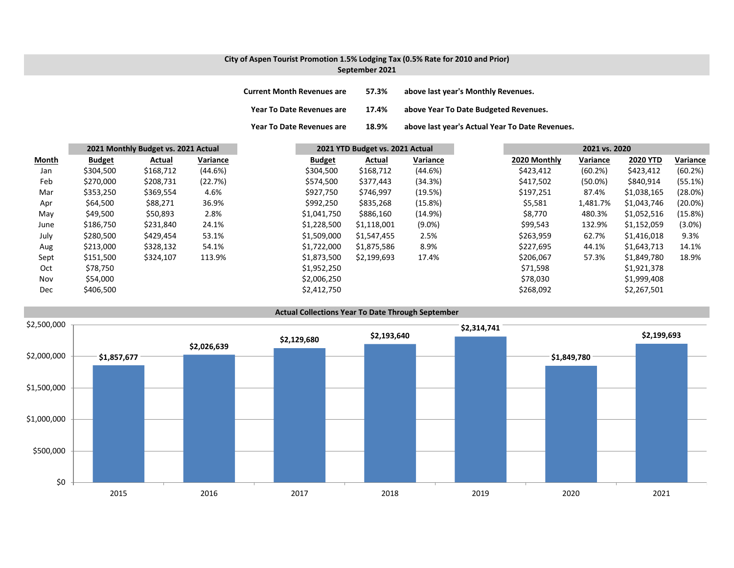### **City of Aspen Tourist Promotion 1.5% Lodging Tax (0.5% Rate for 2010 and Prior) September 2021**

| <b>Current Month Revenues are</b> | 57.3% | above last year's Monthly Revenues.             |
|-----------------------------------|-------|-------------------------------------------------|
| Year To Date Revenues are         | 17.4% | above Year To Date Budgeted Revenues.           |
| Year To Date Revenues are         | 18.9% | above last year's Actual Year To Date Revenues. |

|       | 2021 Monthly Budget vs. 2021 Actual |           |          |  |               | 2021 YTD Budget vs. 2021 Actual |           | 2021 vs. 2020 |              |            |                 |            |
|-------|-------------------------------------|-----------|----------|--|---------------|---------------------------------|-----------|---------------|--------------|------------|-----------------|------------|
| Month | <b>Budget</b>                       | Actual    | Variance |  | <b>Budget</b> | Actual                          | Variance  |               | 2020 Monthly | Variance   | <b>2020 YTD</b> | Variance   |
| Jan   | \$304,500                           | \$168,712 | (44.6%)  |  | \$304,500     | \$168,712                       | (44.6%)   |               | \$423,412    | (60.2%)    | \$423,412       | (60.2%)    |
| Feb   | \$270,000                           | \$208,731 | (22.7%)  |  | \$574,500     | \$377,443                       | (34.3%)   |               | \$417,502    | $(50.0\%)$ | \$840,914       | (55.1%)    |
| Mar   | \$353,250                           | \$369,554 | 4.6%     |  | \$927,750     | \$746,997                       | (19.5%)   |               | \$197,251    | 87.4%      | \$1,038,165     | (28.0%)    |
| Apr   | \$64,500                            | \$88,271  | 36.9%    |  | \$992,250     | \$835,268                       | (15.8%)   |               | \$5,581      | 1,481.7%   | \$1,043,746     | $(20.0\%)$ |
| May   | \$49,500                            | \$50,893  | 2.8%     |  | \$1,041,750   | \$886,160                       | (14.9%)   |               | \$8,770      | 480.3%     | \$1,052,516     | (15.8%)    |
| June  | \$186,750                           | \$231,840 | 24.1%    |  | \$1,228,500   | \$1,118,001                     | $(9.0\%)$ |               | \$99,543     | 132.9%     | \$1,152,059     | $(3.0\%)$  |
| July  | \$280,500                           | \$429,454 | 53.1%    |  | \$1,509,000   | \$1,547,455                     | 2.5%      |               | \$263,959    | 62.7%      | \$1,416,018     | 9.3%       |
| Aug   | \$213,000                           | \$328,132 | 54.1%    |  | \$1,722,000   | \$1,875,586                     | 8.9%      |               | \$227,695    | 44.1%      | \$1,643,713     | 14.1%      |
| Sept  | \$151,500                           | \$324,107 | 113.9%   |  | \$1,873,500   | \$2,199,693                     | 17.4%     |               | \$206,067    | 57.3%      | \$1,849,780     | 18.9%      |
| Oct   | \$78,750                            |           |          |  | \$1,952,250   |                                 |           |               | \$71,598     |            | \$1,921,378     |            |
| Nov   | \$54,000                            |           |          |  | \$2,006,250   |                                 |           |               | \$78.030     |            | \$1,999,408     |            |
| Dec   | \$406,500                           |           |          |  | \$2,412,750   |                                 |           |               | \$268,092    |            | \$2,267,501     |            |

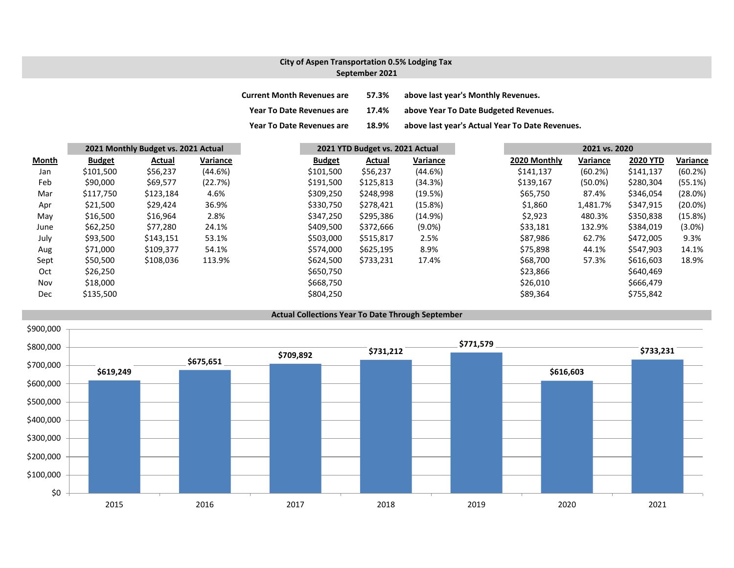### **City of Aspen Transportation 0.5% Lodging Tax September 2021**

| <b>Current Month Revenues are</b> | 57.3% | above last year's Monthly Revenues.             |
|-----------------------------------|-------|-------------------------------------------------|
| <b>Year To Date Revenues are</b>  | 17.4% | above Year To Date Budgeted Revenues.           |
| <b>Year To Date Revenues are</b>  | 18.9% | above last year's Actual Year To Date Revenues. |

|              |               | 2021 Monthly Budget vs. 2021 Actual |          | 2021 YTD Budget vs. 2021 Actual |           |           |  |              | 2021 vs. 2020 |                 |            |  |
|--------------|---------------|-------------------------------------|----------|---------------------------------|-----------|-----------|--|--------------|---------------|-----------------|------------|--|
| <u>Month</u> | <b>Budget</b> | Actual                              | Variance | <b>Budget</b>                   | Actual    | Variance  |  | 2020 Monthly | Variance      | <b>2020 YTD</b> | Variance   |  |
| Jan          | \$101,500     | \$56,237                            | (44.6%)  | \$101,500                       | \$56,237  | (44.6%)   |  | \$141,137    | (60.2%)       | \$141,137       | (60.2%)    |  |
| Feb          | \$90,000      | \$69,577                            | (22.7%)  | \$191,500                       | \$125,813 | (34.3%)   |  | \$139,167    | $(50.0\%)$    | \$280,304       | (55.1%)    |  |
| Mar          | \$117,750     | \$123,184                           | 4.6%     | \$309,250                       | \$248,998 | (19.5%)   |  | \$65,750     | 87.4%         | \$346,054       | (28.0%)    |  |
| Apr          | \$21,500      | \$29,424                            | 36.9%    | \$330,750                       | \$278,421 | (15.8%)   |  | \$1,860      | 1,481.7%      | \$347,915       | (20.0%)    |  |
| May          | \$16,500      | \$16,964                            | 2.8%     | \$347,250                       | \$295,386 | (14.9%)   |  | \$2,923      | 480.3%        | \$350,838       | $(15.8\%)$ |  |
| June         | \$62,250      | \$77,280                            | 24.1%    | \$409,500                       | \$372,666 | $(9.0\%)$ |  | \$33,181     | 132.9%        | \$384,019       | $(3.0\%)$  |  |
| July         | \$93,500      | \$143,151                           | 53.1%    | \$503,000                       | \$515,817 | 2.5%      |  | \$87,986     | 62.7%         | \$472,005       | 9.3%       |  |
| Aug          | \$71,000      | \$109,377                           | 54.1%    | \$574,000                       | \$625,195 | 8.9%      |  | \$75,898     | 44.1%         | \$547,903       | 14.1%      |  |
| Sept         | \$50,500      | \$108,036                           | 113.9%   | \$624,500                       | \$733,231 | 17.4%     |  | \$68,700     | 57.3%         | \$616,603       | 18.9%      |  |
| Oct          | \$26,250      |                                     |          | \$650,750                       |           |           |  | \$23,866     |               | \$640,469       |            |  |
| Nov          | \$18,000      |                                     |          | \$668,750                       |           |           |  | \$26,010     |               | \$666,479       |            |  |
| Dec          | \$135,500     |                                     |          | \$804,250                       |           |           |  | \$89,364     |               | \$755,842       |            |  |

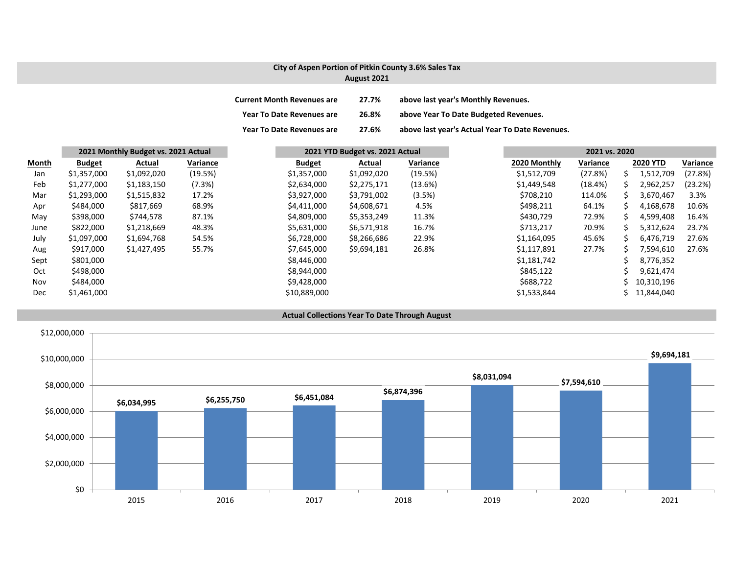#### **City of Aspen Portion of Pitkin County 3.6% Sales Tax August 2021**

| <b>Current Month Revenues are</b> | 27.7% | above last year's Monthly Revenues.             |
|-----------------------------------|-------|-------------------------------------------------|
| <b>Year To Date Revenues are</b>  | 26.8% | above Year To Date Budgeted Revenues.           |
| <b>Year To Date Revenues are</b>  | 27.6% | above last year's Actual Year To Date Revenues. |

|       | 2021 Monthly Budget vs. 2021 Actual |             |          | 2021 YTD Budget vs. 2021 Actual |             |          | 2021 vs. 2020 |              |          |    |                 |          |
|-------|-------------------------------------|-------------|----------|---------------------------------|-------------|----------|---------------|--------------|----------|----|-----------------|----------|
| Month | <b>Budget</b>                       | Actual      | Variance | <b>Budget</b>                   | Actual      | Variance |               | 2020 Monthly | Variance |    | <b>2020 YTD</b> | Variance |
| Jan   | \$1,357,000                         | \$1,092,020 | (19.5%)  | \$1,357,000                     | \$1,092,020 | (19.5%)  |               | \$1,512,709  | (27.8%)  | S. | 1,512,709       | (27.8%)  |
| Feb   | \$1,277,000                         | \$1,183,150 | (7.3%)   | \$2,634,000                     | \$2,275,171 | (13.6%)  |               | \$1,449,548  | (18.4%)  |    | 2,962,257       | (23.2%)  |
| Mar   | \$1,293,000                         | \$1,515,832 | 17.2%    | \$3,927,000                     | \$3,791,002 | (3.5%)   |               | \$708,210    | 114.0%   | S. | 3,670,467       | 3.3%     |
| Apr   | \$484,000                           | \$817,669   | 68.9%    | \$4,411,000                     | \$4,608,671 | 4.5%     |               | \$498,211    | 64.1%    | S  | 4,168,678       | 10.6%    |
| May   | \$398,000                           | \$744,578   | 87.1%    | \$4,809,000                     | \$5,353,249 | 11.3%    |               | \$430,729    | 72.9%    | S  | 4,599,408       | 16.4%    |
| June  | \$822,000                           | \$1,218,669 | 48.3%    | \$5,631,000                     | \$6,571,918 | 16.7%    |               | \$713,217    | 70.9%    |    | 5,312,624       | 23.7%    |
| July  | \$1,097,000                         | \$1,694,768 | 54.5%    | \$6,728,000                     | \$8,266,686 | 22.9%    |               | \$1,164,095  | 45.6%    | ς  | 6,476,719       | 27.6%    |
| Aug   | \$917,000                           | \$1,427,495 | 55.7%    | \$7,645,000                     | \$9,694,181 | 26.8%    |               | \$1,117,891  | 27.7%    |    | 7,594,610       | 27.6%    |
| Sept  | \$801,000                           |             |          | \$8,446,000                     |             |          |               | \$1,181,742  |          |    | 8,776,352       |          |
| Oct   | \$498,000                           |             |          | \$8,944,000                     |             |          |               | \$845,122    |          |    | 9,621,474       |          |
| Nov   | \$484,000                           |             |          | \$9,428,000                     |             |          |               | \$688,722    |          |    | 10,310,196      |          |
| Dec   | \$1,461,000                         |             |          | \$10,889,000                    |             |          |               | \$1,533,844  |          |    | 11,844,040      |          |

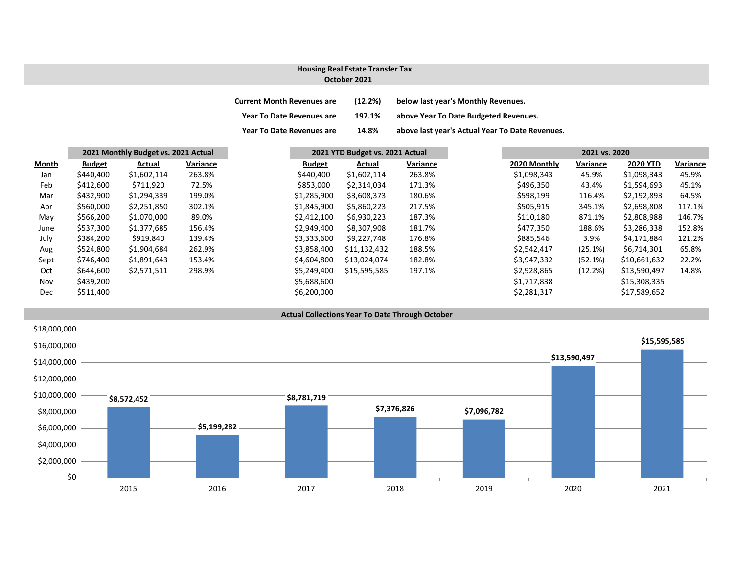# **Housing Real Estate Transfer Tax**

#### **October 2021**

| <b>Current Month Revenues are</b> | (12.2%) | below last year's Monthly Revenues.             |
|-----------------------------------|---------|-------------------------------------------------|
| <b>Year To Date Revenues are</b>  | 197.1%  | above Year To Date Budgeted Revenues.           |
| <b>Year To Date Revenues are</b>  | 14.8%   | above last year's Actual Year To Date Revenues. |

| Month      | 2021 Monthly Budget vs. 2021 Actual |             |          |               | 2021 YTD Budget vs. 2021 Actual |          |  | 2021 vs. 2020 |          |                 |  |
|------------|-------------------------------------|-------------|----------|---------------|---------------------------------|----------|--|---------------|----------|-----------------|--|
|            | <b>Budget</b>                       | Actual      | Variance | <b>Budget</b> | Actual                          | Variance |  | 2020 Monthly  | Variance | <b>2020 YTD</b> |  |
| Jan        | \$440,400                           | \$1,602,114 | 263.8%   | \$440,400     | \$1,602,114                     | 263.8%   |  | \$1,098,343   | 45.9%    | \$1,098,343     |  |
| Feb        | \$412,600                           | \$711,920   | 72.5%    | \$853,000     | \$2,314,034                     | 171.3%   |  | \$496,350     | 43.4%    | \$1,594,693     |  |
| Mar        | \$432,900                           | \$1,294,339 | 199.0%   | \$1,285,900   | \$3,608,373                     | 180.6%   |  | \$598,199     | 116.4%   | \$2,192,893     |  |
| Apr        | \$560,000                           | \$2,251,850 | 302.1%   | \$1,845,900   | \$5,860,223                     | 217.5%   |  | \$505,915     | 345.1%   | \$2,698,808     |  |
| May        | \$566,200                           | \$1,070,000 | 89.0%    | \$2,412,100   | \$6,930,223                     | 187.3%   |  | \$110,180     | 871.1%   | \$2,808,988     |  |
| June       | \$537,300                           | \$1,377,685 | 156.4%   | \$2,949,400   | \$8,307,908                     | 181.7%   |  | \$477,350     | 188.6%   | \$3,286,338     |  |
| July       | \$384,200                           | \$919,840   | 139.4%   | \$3,333,600   | \$9,227,748                     | 176.8%   |  | \$885,546     | 3.9%     | \$4,171,884     |  |
| Aug        | \$524,800                           | \$1,904,684 | 262.9%   | \$3,858,400   | \$11,132,432                    | 188.5%   |  | \$2,542,417   | (25.1%)  | \$6,714,301     |  |
| Sept       | \$746,400                           | \$1,891,643 | 153.4%   | \$4,604,800   | \$13.024.074                    | 182.8%   |  | \$3,947,332   | (52.1%)  | \$10,661,632    |  |
| Oct        | \$644,600                           | \$2,571,511 | 298.9%   | \$5,249,400   | \$15,595,585                    | 197.1%   |  | \$2,928,865   | (12.2%)  | \$13,590,497    |  |
| Nov        | \$439,200                           |             |          | \$5,688,600   |                                 |          |  | \$1,717,838   |          | \$15,308,335    |  |
| <b>Dec</b> | \$511,400                           |             |          | \$6,200,000   |                                 |          |  | \$2,281,317   |          | \$17,589,652    |  |